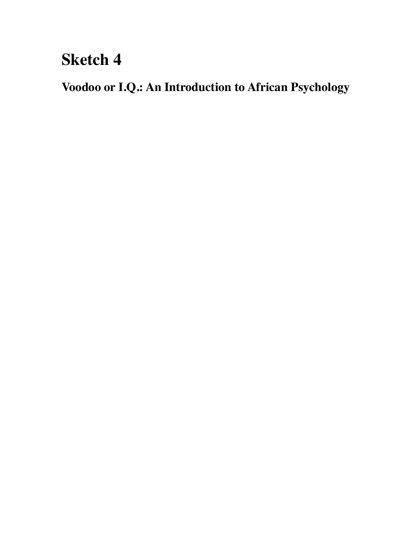# **Sketch 4**

**Voodoo or I.Q.: An Introduction to African Psychology**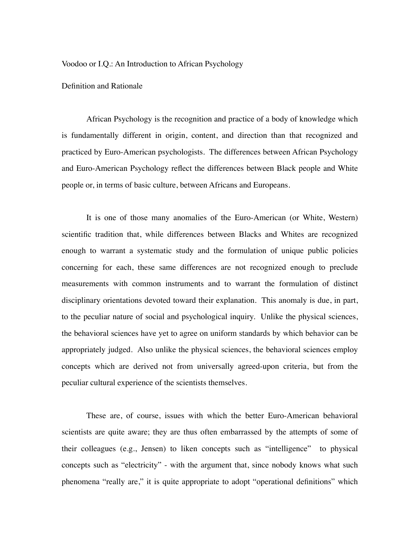Voodoo or I.Q.: An Introduction to African Psychology

Definition and Rationale

African Psychology is the recognition and practice of a body of knowledge which is fundamentally different in origin, content, and direction than that recognized and practiced by Euro-American psychologists. The differences between African Psychology and Euro-American Psychology reflect the differences between Black people and White people or, in terms of basic culture, between Africans and Europeans.

It is one of those many anomalies of the Euro-American (or White, Western) scientific tradition that, while differences between Blacks and Whites are recognized enough to warrant a systematic study and the formulation of unique public policies concerning for each, these same differences are not recognized enough to preclude measurements with common instruments and to warrant the formulation of distinct disciplinary orientations devoted toward their explanation. This anomaly is due, in part, to the peculiar nature of social and psychological inquiry. Unlike the physical sciences, the behavioral sciences have yet to agree on uniform standards by which behavior can be appropriately judged. Also unlike the physical sciences, the behavioral sciences employ concepts which are derived not from universally agreed-upon criteria, but from the peculiar cultural experience of the scientists themselves.

These are, of course, issues with which the better Euro-American behavioral scientists are quite aware; they are thus often embarrassed by the attempts of some of their colleagues (e.g., Jensen) to liken concepts such as "intelligence" to physical concepts such as "electricity" - with the argument that, since nobody knows what such phenomena "really are," it is quite appropriate to adopt "operational definitions" which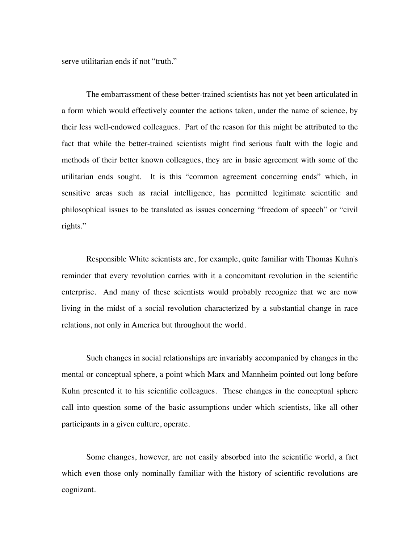serve utilitarian ends if not "truth."

The embarrassment of these better-trained scientists has not yet been articulated in a form which would effectively counter the actions taken, under the name of science, by their less well-endowed colleagues. Part of the reason for this might be attributed to the fact that while the better-trained scientists might find serious fault with the logic and methods of their better known colleagues, they are in basic agreement with some of the utilitarian ends sought. It is this "common agreement concerning ends" which, in sensitive areas such as racial intelligence, has permitted legitimate scientific and philosophical issues to be translated as issues concerning "freedom of speech" or "civil rights."

Responsible White scientists are, for example, quite familiar with Thomas Kuhn's reminder that every revolution carries with it a concomitant revolution in the scientific enterprise. And many of these scientists would probably recognize that we are now living in the midst of a social revolution characterized by a substantial change in race relations, not only in America but throughout the world.

Such changes in social relationships are invariably accompanied by changes in the mental or conceptual sphere, a point which Marx and Mannheim pointed out long before Kuhn presented it to his scientific colleagues. These changes in the conceptual sphere call into question some of the basic assumptions under which scientists, like all other participants in a given culture, operate.

Some changes, however, are not easily absorbed into the scientific world, a fact which even those only nominally familiar with the history of scientific revolutions are cognizant.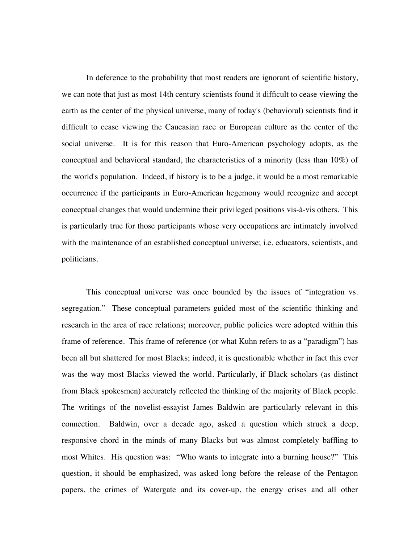In deference to the probability that most readers are ignorant of scientific history, we can note that just as most 14th century scientists found it difficult to cease viewing the earth as the center of the physical universe, many of today's (behavioral) scientists find it difficult to cease viewing the Caucasian race or European culture as the center of the social universe. It is for this reason that Euro-American psychology adopts, as the conceptual and behavioral standard, the characteristics of a minority (less than 10%) of the world's population. Indeed, if history is to be a judge, it would be a most remarkable occurrence if the participants in Euro-American hegemony would recognize and accept conceptual changes that would undermine their privileged positions vis-à-vis others. This is particularly true for those participants whose very occupations are intimately involved with the maintenance of an established conceptual universe; i.e. educators, scientists, and politicians.

This conceptual universe was once bounded by the issues of "integration vs. segregation." These conceptual parameters guided most of the scientific thinking and research in the area of race relations; moreover, public policies were adopted within this frame of reference. This frame of reference (or what Kuhn refers to as a "paradigm") has been all but shattered for most Blacks; indeed, it is questionable whether in fact this ever was the way most Blacks viewed the world. Particularly, if Black scholars (as distinct from Black spokesmen) accurately reflected the thinking of the majority of Black people. The writings of the novelist-essayist James Baldwin are particularly relevant in this connection. Baldwin, over a decade ago, asked a question which struck a deep, responsive chord in the minds of many Blacks but was almost completely baffling to most Whites. His question was: "Who wants to integrate into a burning house?" This question, it should be emphasized, was asked long before the release of the Pentagon papers, the crimes of Watergate and its cover-up, the energy crises and all other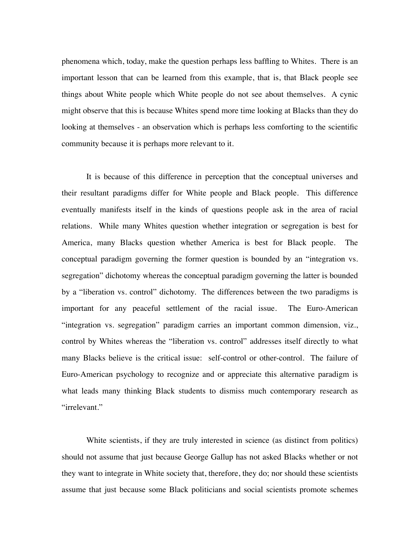phenomena which, today, make the question perhaps less baffling to Whites. There is an important lesson that can be learned from this example, that is, that Black people see things about White people which White people do not see about themselves. A cynic might observe that this is because Whites spend more time looking at Blacks than they do looking at themselves - an observation which is perhaps less comforting to the scientific community because it is perhaps more relevant to it.

It is because of this difference in perception that the conceptual universes and their resultant paradigms differ for White people and Black people. This difference eventually manifests itself in the kinds of questions people ask in the area of racial relations. While many Whites question whether integration or segregation is best for America, many Blacks question whether America is best for Black people. The conceptual paradigm governing the former question is bounded by an "integration vs. segregation" dichotomy whereas the conceptual paradigm governing the latter is bounded by a "liberation vs. control" dichotomy. The differences between the two paradigms is important for any peaceful settlement of the racial issue. The Euro-American "integration vs. segregation" paradigm carries an important common dimension, viz., control by Whites whereas the "liberation vs. control" addresses itself directly to what many Blacks believe is the critical issue: self-control or other-control. The failure of Euro-American psychology to recognize and or appreciate this alternative paradigm is what leads many thinking Black students to dismiss much contemporary research as "irrelevant."

White scientists, if they are truly interested in science (as distinct from politics) should not assume that just because George Gallup has not asked Blacks whether or not they want to integrate in White society that, therefore, they do; nor should these scientists assume that just because some Black politicians and social scientists promote schemes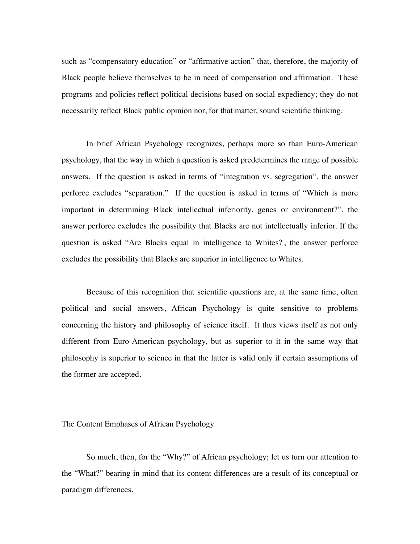such as "compensatory education" or "affirmative action" that, therefore, the majority of Black people believe themselves to be in need of compensation and affirmation. These programs and policies reflect political decisions based on social expediency; they do not necessarily reflect Black public opinion nor, for that matter, sound scientific thinking.

In brief African Psychology recognizes, perhaps more so than Euro-American psychology, that the way in which a question is asked predetermines the range of possible answers. If the question is asked in terms of "integration vs. segregation", the answer perforce excludes "separation." If the question is asked in terms of "Which is more important in determining Black intellectual inferiority, genes or environment?", the answer perforce excludes the possibility that Blacks are not intellectually inferior. If the question is asked "Are Blacks equal in intelligence to Whites?', the answer perforce excludes the possibility that Blacks are superior in intelligence to Whites.

Because of this recognition that scientific questions are, at the same time, often political and social answers, African Psychology is quite sensitive to problems concerning the history and philosophy of science itself. It thus views itself as not only different from Euro-American psychology, but as superior to it in the same way that philosophy is superior to science in that the latter is valid only if certain assumptions of the former are accepted.

#### The Content Emphases of African Psychology

So much, then, for the "Why?" of African psychology; let us turn our attention to the "What?" bearing in mind that its content differences are a result of its conceptual or paradigm differences.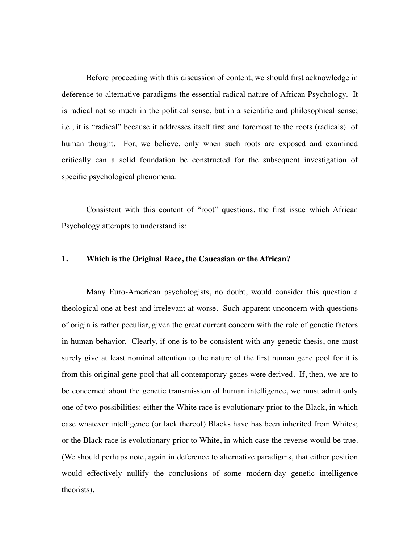Before proceeding with this discussion of content, we should first acknowledge in deference to alternative paradigms the essential radical nature of African Psychology. It is radical not so much in the political sense, but in a scientific and philosophical sense; i.e., it is "radical" because it addresses itself first and foremost to the roots (radicals) of human thought. For, we believe, only when such roots are exposed and examined critically can a solid foundation be constructed for the subsequent investigation of specific psychological phenomena.

Consistent with this content of "root" questions, the first issue which African Psychology attempts to understand is:

## **1. Which is the Original Race, the Caucasian or the African?**

Many Euro-American psychologists, no doubt, would consider this question a theological one at best and irrelevant at worse. Such apparent unconcern with questions of origin is rather peculiar, given the great current concern with the role of genetic factors in human behavior. Clearly, if one is to be consistent with any genetic thesis, one must surely give at least nominal attention to the nature of the first human gene pool for it is from this original gene pool that all contemporary genes were derived. If, then, we are to be concerned about the genetic transmission of human intelligence, we must admit only one of two possibilities: either the White race is evolutionary prior to the Black, in which case whatever intelligence (or lack thereof) Blacks have has been inherited from Whites; or the Black race is evolutionary prior to White, in which case the reverse would be true. (We should perhaps note, again in deference to alternative paradigms, that either position would effectively nullify the conclusions of some modern-day genetic intelligence theorists).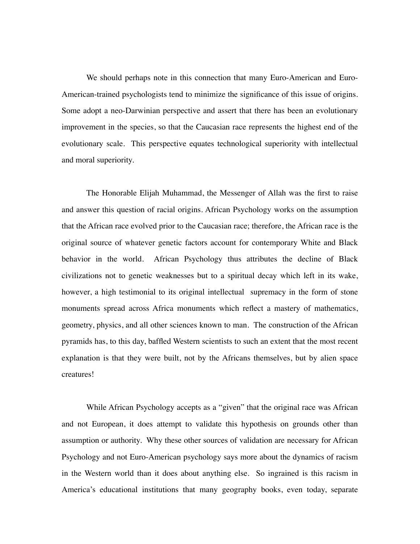We should perhaps note in this connection that many Euro-American and Euro-American-trained psychologists tend to minimize the significance of this issue of origins. Some adopt a neo-Darwinian perspective and assert that there has been an evolutionary improvement in the species, so that the Caucasian race represents the highest end of the evolutionary scale. This perspective equates technological superiority with intellectual and moral superiority.

The Honorable Elijah Muhammad, the Messenger of Allah was the first to raise and answer this question of racial origins. African Psychology works on the assumption that the African race evolved prior to the Caucasian race; therefore, the African race is the original source of whatever genetic factors account for contemporary White and Black behavior in the world. African Psychology thus attributes the decline of Black civilizations not to genetic weaknesses but to a spiritual decay which left in its wake, however, a high testimonial to its original intellectual supremacy in the form of stone monuments spread across Africa monuments which reflect a mastery of mathematics, geometry, physics, and all other sciences known to man. The construction of the African pyramids has, to this day, baffled Western scientists to such an extent that the most recent explanation is that they were built, not by the Africans themselves, but by alien space creatures!

While African Psychology accepts as a "given" that the original race was African and not European, it does attempt to validate this hypothesis on grounds other than assumption or authority. Why these other sources of validation are necessary for African Psychology and not Euro-American psychology says more about the dynamics of racism in the Western world than it does about anything else. So ingrained is this racism in America's educational institutions that many geography books, even today, separate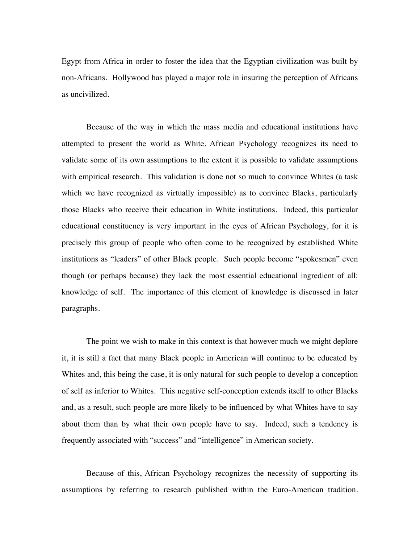Egypt from Africa in order to foster the idea that the Egyptian civilization was built by non-Africans. Hollywood has played a major role in insuring the perception of Africans as uncivilized.

Because of the way in which the mass media and educational institutions have attempted to present the world as White, African Psychology recognizes its need to validate some of its own assumptions to the extent it is possible to validate assumptions with empirical research. This validation is done not so much to convince Whites (a task which we have recognized as virtually impossible) as to convince Blacks, particularly those Blacks who receive their education in White institutions. Indeed, this particular educational constituency is very important in the eyes of African Psychology, for it is precisely this group of people who often come to be recognized by established White institutions as "leaders" of other Black people. Such people become "spokesmen" even though (or perhaps because) they lack the most essential educational ingredient of all: knowledge of self. The importance of this element of knowledge is discussed in later paragraphs.

The point we wish to make in this context is that however much we might deplore it, it is still a fact that many Black people in American will continue to be educated by Whites and, this being the case, it is only natural for such people to develop a conception of self as inferior to Whites. This negative self-conception extends itself to other Blacks and, as a result, such people are more likely to be influenced by what Whites have to say about them than by what their own people have to say. Indeed, such a tendency is frequently associated with "success" and "intelligence" in American society.

Because of this, African Psychology recognizes the necessity of supporting its assumptions by referring to research published within the Euro-American tradition.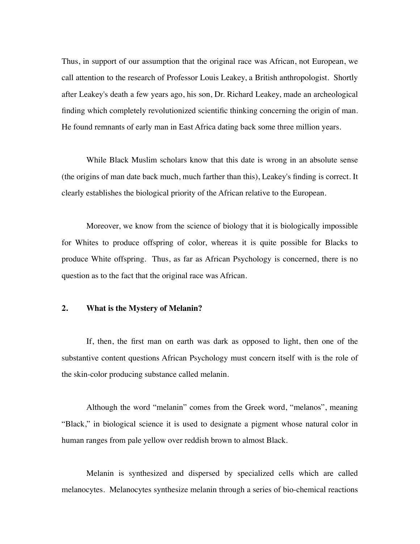Thus, in support of our assumption that the original race was African, not European, we call attention to the research of Professor Louis Leakey, a British anthropologist. Shortly after Leakey's death a few years ago, his son, Dr. Richard Leakey, made an archeological finding which completely revolutionized scientific thinking concerning the origin of man. He found remnants of early man in East Africa dating back some three million years.

While Black Muslim scholars know that this date is wrong in an absolute sense (the origins of man date back much, much farther than this), Leakey's finding is correct. It clearly establishes the biological priority of the African relative to the European.

Moreover, we know from the science of biology that it is biologically impossible for Whites to produce offspring of color, whereas it is quite possible for Blacks to produce White offspring. Thus, as far as African Psychology is concerned, there is no question as to the fact that the original race was African.

### **2. What is the Mystery of Melanin?**

If, then, the first man on earth was dark as opposed to light, then one of the substantive content questions African Psychology must concern itself with is the role of the skin-color producing substance called melanin.

Although the word "melanin" comes from the Greek word, "melanos", meaning "Black," in biological science it is used to designate a pigment whose natural color in human ranges from pale yellow over reddish brown to almost Black.

Melanin is synthesized and dispersed by specialized cells which are called melanocytes. Melanocytes synthesize melanin through a series of bio-chemical reactions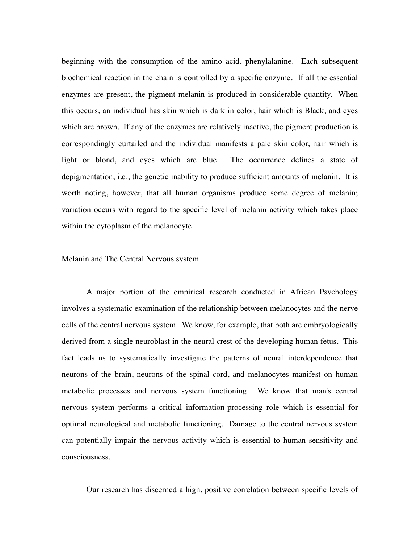beginning with the consumption of the amino acid, phenylalanine. Each subsequent biochemical reaction in the chain is controlled by a specific enzyme. If all the essential enzymes are present, the pigment melanin is produced in considerable quantity. When this occurs, an individual has skin which is dark in color, hair which is Black, and eyes which are brown. If any of the enzymes are relatively inactive, the pigment production is correspondingly curtailed and the individual manifests a pale skin color, hair which is light or blond, and eyes which are blue. The occurrence defines a state of depigmentation; i.e., the genetic inability to produce sufficient amounts of melanin. It is worth noting, however, that all human organisms produce some degree of melanin; variation occurs with regard to the specific level of melanin activity which takes place within the cytoplasm of the melanocyte.

#### Melanin and The Central Nervous system

A major portion of the empirical research conducted in African Psychology involves a systematic examination of the relationship between melanocytes and the nerve cells of the central nervous system. We know, for example, that both are embryologically derived from a single neuroblast in the neural crest of the developing human fetus. This fact leads us to systematically investigate the patterns of neural interdependence that neurons of the brain, neurons of the spinal cord, and melanocytes manifest on human metabolic processes and nervous system functioning. We know that man's central nervous system performs a critical information-processing role which is essential for optimal neurological and metabolic functioning. Damage to the central nervous system can potentially impair the nervous activity which is essential to human sensitivity and consciousness.

Our research has discerned a high, positive correlation between specific levels of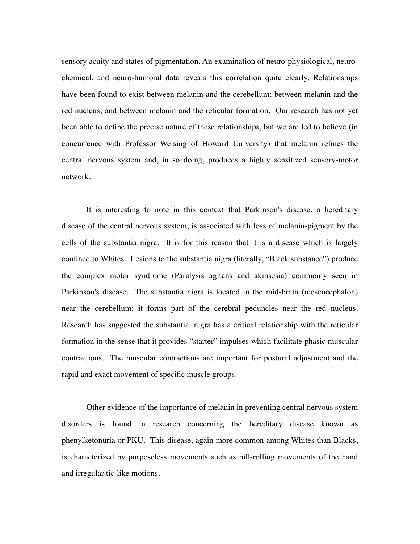sensory acuity and states of pigmentation. An examination of neuro-physiological, neurochemical, and neuro-humoral data reveals this correlation quite clearly. Relationships have been found to exist between melanin and the cerebellum; between melanin and the red nucleus; and between melanin and the reticular formation. Our research has not yet been able to define the precise nature of these relationships, but we are led to believe (in concurrence with Professor Welsing of Howard University) that melanin refines the central nervous system and, in so doing, produces a highly sensitized sensory-motor network.

It is interesting to note in this context that Parkinson's disease, a hereditary disease of the central nervous system, is associated with loss of melanin-pigment by the cells of the substantia nigra. It is for this reason that it is a disease which is largely confined to Whites. Lesions to the substantia nigra (literally, "Black substance") produce the complex motor syndrome (Paralysis agitans and akinsesia) commonly seen in Parkinson's disease. The substantia nigra is located in the mid-brain (mesencephalon) near the cerebellum; it forms part of the cerebral peduncles near the red nucleus. Research has suggested the substantial nigra has a critical relationship with the reticular formation in the sense that it provides "starter" impulses which facilitate phasic muscular contractions. The muscular contractions are important for postural adjustment and the rapid and exact movement of specific muscle groups.

Other evidence of the importance of melanin in preventing central nervous system disorders is found in research concerning the hereditary disease known as phenylketonuria or PKU. This disease, again more common among Whites than Blacks, is characterized by purposeless movements such as pill-rolling movements of the hand and irregular tic-like motions.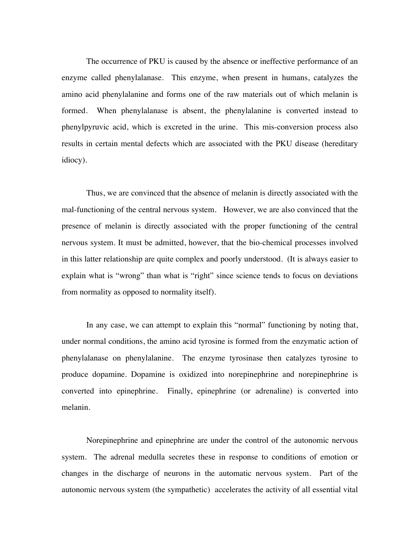The occurrence of PKU is caused by the absence or ineffective performance of an enzyme called phenylalanase. This enzyme, when present in humans, catalyzes the amino acid phenylalanine and forms one of the raw materials out of which melanin is formed. When phenylalanase is absent, the phenylalanine is converted instead to phenylpyruvic acid, which is excreted in the urine. This mis-conversion process also results in certain mental defects which are associated with the PKU disease (hereditary idiocy).

Thus, we are convinced that the absence of melanin is directly associated with the mal-functioning of the central nervous system. However, we are also convinced that the presence of melanin is directly associated with the proper functioning of the central nervous system. It must be admitted, however, that the bio-chemical processes involved in this latter relationship are quite complex and poorly understood. (It is always easier to explain what is "wrong" than what is "right" since science tends to focus on deviations from normality as opposed to normality itself).

In any case, we can attempt to explain this "normal" functioning by noting that, under normal conditions, the amino acid tyrosine is formed from the enzymatic action of phenylalanase on phenylalanine. The enzyme tyrosinase then catalyzes tyrosine to produce dopamine. Dopamine is oxidized into norepinephrine and norepinephrine is converted into epinephrine. Finally, epinephrine (or adrenaline) is converted into melanin.

Norepinephrine and epinephrine are under the control of the autonomic nervous system. The adrenal medulla secretes these in response to conditions of emotion or changes in the discharge of neurons in the automatic nervous system. Part of the autonomic nervous system (the sympathetic) accelerates the activity of all essential vital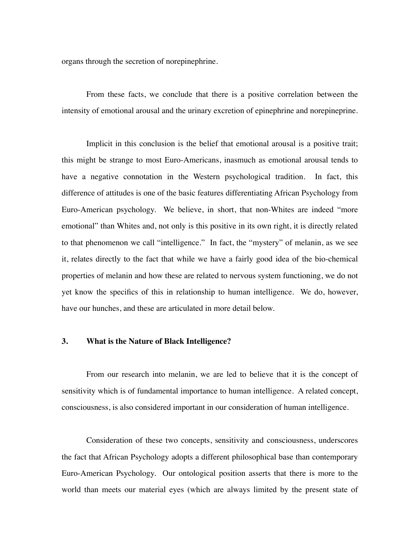organs through the secretion of norepinephrine.

From these facts, we conclude that there is a positive correlation between the intensity of emotional arousal and the urinary excretion of epinephrine and norepineprine.

Implicit in this conclusion is the belief that emotional arousal is a positive trait; this might be strange to most Euro-Americans, inasmuch as emotional arousal tends to have a negative connotation in the Western psychological tradition. In fact, this difference of attitudes is one of the basic features differentiating African Psychology from Euro-American psychology. We believe, in short, that non-Whites are indeed "more emotional" than Whites and, not only is this positive in its own right, it is directly related to that phenomenon we call "intelligence." In fact, the "mystery" of melanin, as we see it, relates directly to the fact that while we have a fairly good idea of the bio-chemical properties of melanin and how these are related to nervous system functioning, we do not yet know the specifics of this in relationship to human intelligence. We do, however, have our hunches, and these are articulated in more detail below.

### **3. What is the Nature of Black Intelligence?**

From our research into melanin, we are led to believe that it is the concept of sensitivity which is of fundamental importance to human intelligence. A related concept, consciousness, is also considered important in our consideration of human intelligence.

Consideration of these two concepts, sensitivity and consciousness, underscores the fact that African Psychology adopts a different philosophical base than contemporary Euro-American Psychology. Our ontological position asserts that there is more to the world than meets our material eyes (which are always limited by the present state of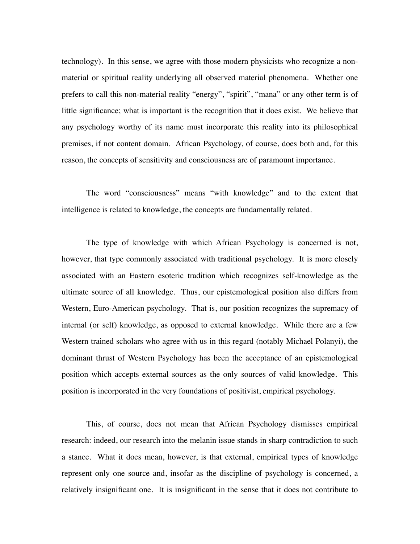technology). In this sense, we agree with those modern physicists who recognize a nonmaterial or spiritual reality underlying all observed material phenomena. Whether one prefers to call this non-material reality "energy", "spirit", "mana" or any other term is of little significance; what is important is the recognition that it does exist. We believe that any psychology worthy of its name must incorporate this reality into its philosophical premises, if not content domain. African Psychology, of course, does both and, for this reason, the concepts of sensitivity and consciousness are of paramount importance.

The word "consciousness" means "with knowledge" and to the extent that intelligence is related to knowledge, the concepts are fundamentally related.

The type of knowledge with which African Psychology is concerned is not, however, that type commonly associated with traditional psychology. It is more closely associated with an Eastern esoteric tradition which recognizes self-knowledge as the ultimate source of all knowledge. Thus, our epistemological position also differs from Western, Euro-American psychology. That is, our position recognizes the supremacy of internal (or self) knowledge, as opposed to external knowledge. While there are a few Western trained scholars who agree with us in this regard (notably Michael Polanyi), the dominant thrust of Western Psychology has been the acceptance of an epistemological position which accepts external sources as the only sources of valid knowledge. This position is incorporated in the very foundations of positivist, empirical psychology.

This, of course, does not mean that African Psychology dismisses empirical research: indeed, our research into the melanin issue stands in sharp contradiction to such a stance. What it does mean, however, is that external, empirical types of knowledge represent only one source and, insofar as the discipline of psychology is concerned, a relatively insignificant one. It is insignificant in the sense that it does not contribute to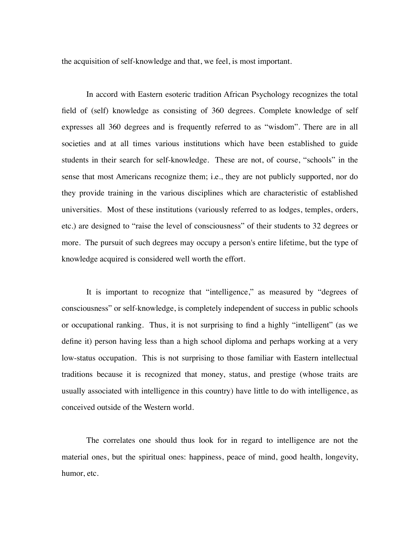the acquisition of self-knowledge and that, we feel, is most important.

In accord with Eastern esoteric tradition African Psychology recognizes the total field of (self) knowledge as consisting of 360 degrees. Complete knowledge of self expresses all 360 degrees and is frequently referred to as "wisdom". There are in all societies and at all times various institutions which have been established to guide students in their search for self-knowledge. These are not, of course, "schools" in the sense that most Americans recognize them; i.e., they are not publicly supported, nor do they provide training in the various disciplines which are characteristic of established universities. Most of these institutions (variously referred to as lodges, temples, orders, etc.) are designed to "raise the level of consciousness" of their students to 32 degrees or more. The pursuit of such degrees may occupy a person's entire lifetime, but the type of knowledge acquired is considered well worth the effort.

It is important to recognize that "intelligence," as measured by "degrees of consciousness" or self-knowledge, is completely independent of success in public schools or occupational ranking. Thus, it is not surprising to find a highly "intelligent" (as we define it) person having less than a high school diploma and perhaps working at a very low-status occupation. This is not surprising to those familiar with Eastern intellectual traditions because it is recognized that money, status, and prestige (whose traits are usually associated with intelligence in this country) have little to do with intelligence, as conceived outside of the Western world.

The correlates one should thus look for in regard to intelligence are not the material ones, but the spiritual ones: happiness, peace of mind, good health, longevity, humor, etc.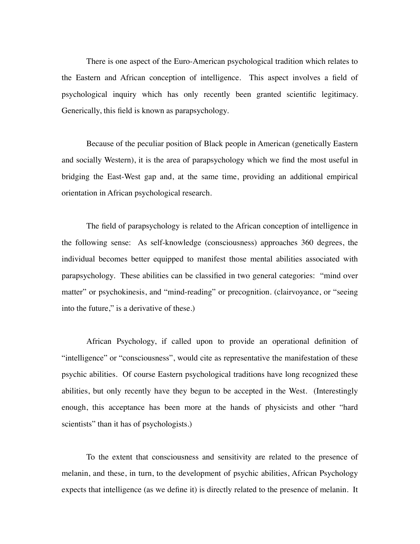There is one aspect of the Euro-American psychological tradition which relates to the Eastern and African conception of intelligence. This aspect involves a field of psychological inquiry which has only recently been granted scientific legitimacy. Generically, this field is known as parapsychology.

Because of the peculiar position of Black people in American (genetically Eastern and socially Western), it is the area of parapsychology which we find the most useful in bridging the East-West gap and, at the same time, providing an additional empirical orientation in African psychological research.

The field of parapsychology is related to the African conception of intelligence in the following sense: As self-knowledge (consciousness) approaches 360 degrees, the individual becomes better equipped to manifest those mental abilities associated with parapsychology. These abilities can be classified in two general categories: "mind over matter" or psychokinesis, and "mind-reading" or precognition. (clairvoyance, or "seeing into the future," is a derivative of these.)

African Psychology, if called upon to provide an operational definition of "intelligence" or "consciousness", would cite as representative the manifestation of these psychic abilities. Of course Eastern psychological traditions have long recognized these abilities, but only recently have they begun to be accepted in the West. (Interestingly enough, this acceptance has been more at the hands of physicists and other "hard scientists" than it has of psychologists.)

To the extent that consciousness and sensitivity are related to the presence of melanin, and these, in turn, to the development of psychic abilities, African Psychology expects that intelligence (as we define it) is directly related to the presence of melanin. It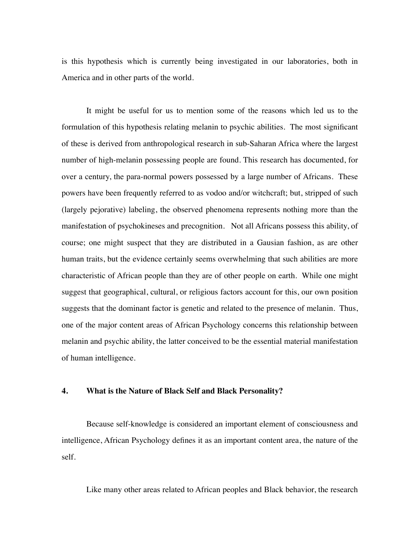is this hypothesis which is currently being investigated in our laboratories, both in America and in other parts of the world.

It might be useful for us to mention some of the reasons which led us to the formulation of this hypothesis relating melanin to psychic abilities. The most significant of these is derived from anthropological research in sub-Saharan Africa where the largest number of high-melanin possessing people are found. This research has documented, for over a century, the para-normal powers possessed by a large number of Africans. These powers have been frequently referred to as vodoo and/or witchcraft; but, stripped of such (largely pejorative) labeling, the observed phenomena represents nothing more than the manifestation of psychokineses and precognition. Not all Africans possess this ability, of course; one might suspect that they are distributed in a Gausian fashion, as are other human traits, but the evidence certainly seems overwhelming that such abilities are more characteristic of African people than they are of other people on earth. While one might suggest that geographical, cultural, or religious factors account for this, our own position suggests that the dominant factor is genetic and related to the presence of melanin. Thus, one of the major content areas of African Psychology concerns this relationship between melanin and psychic ability, the latter conceived to be the essential material manifestation of human intelligence.

## **4. What is the Nature of Black Self and Black Personality?**

Because self-knowledge is considered an important element of consciousness and intelligence, African Psychology defines it as an important content area, the nature of the self.

Like many other areas related to African peoples and Black behavior, the research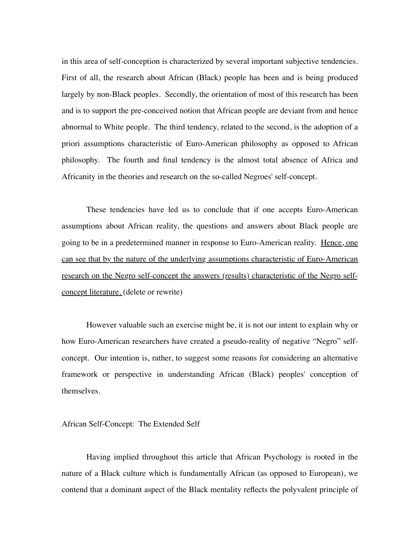in this area of self-conception is characterized by several important subjective tendencies. First of all, the research about African (Black) people has been and is being produced largely by non-Black peoples. Secondly, the orientation of most of this research has been and is to support the pre-conceived notion that African people are deviant from and hence abnormal to White people. The third tendency, related to the second, is the adoption of a priori assumptions characteristic of Euro-American philosophy as opposed to African philosophy. The fourth and final tendency is the almost total absence of Africa and Africanity in the theories and research on the so-called Negroes' self-concept.

These tendencies have led us to conclude that if one accepts Euro-American assumptions about African reality, the questions and answers about Black people are going to be in a predetermined manner in response to Euro-American reality. Hence, one can see that by the nature of the underlying assumptions characteristic of Euro-American research on the Negro self-concept the answers (results) characteristic of the Negro selfconcept literature. (delete or rewrite)

However valuable such an exercise might be, it is not our intent to explain why or how Euro-American researchers have created a pseudo-reality of negative "Negro" selfconcept. Our intention is, rather, to suggest some reasons for considering an alternative framework or perspective in understanding African (Black) peoples' conception of themselves.

#### African Self-Concept: The Extended Self

Having implied throughout this article that African Psychology is rooted in the nature of a Black culture which is fundamentally African (as opposed to European), we contend that a dominant aspect of the Black mentality reflects the polyvalent principle of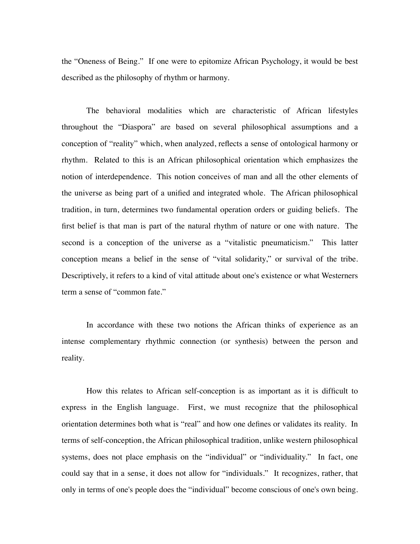the "Oneness of Being." If one were to epitomize African Psychology, it would be best described as the philosophy of rhythm or harmony.

The behavioral modalities which are characteristic of African lifestyles throughout the "Diaspora" are based on several philosophical assumptions and a conception of "reality" which, when analyzed, reflects a sense of ontological harmony or rhythm. Related to this is an African philosophical orientation which emphasizes the notion of interdependence. This notion conceives of man and all the other elements of the universe as being part of a unified and integrated whole. The African philosophical tradition, in turn, determines two fundamental operation orders or guiding beliefs. The first belief is that man is part of the natural rhythm of nature or one with nature. The second is a conception of the universe as a "vitalistic pneumaticism." This latter conception means a belief in the sense of "vital solidarity," or survival of the tribe. Descriptively, it refers to a kind of vital attitude about one's existence or what Westerners term a sense of "common fate."

In accordance with these two notions the African thinks of experience as an intense complementary rhythmic connection (or synthesis) between the person and reality.

How this relates to African self-conception is as important as it is difficult to express in the English language. First, we must recognize that the philosophical orientation determines both what is "real" and how one defines or validates its reality. In terms of self-conception, the African philosophical tradition, unlike western philosophical systems, does not place emphasis on the "individual" or "individuality." In fact, one could say that in a sense, it does not allow for "individuals." It recognizes, rather, that only in terms of one's people does the "individual" become conscious of one's own being.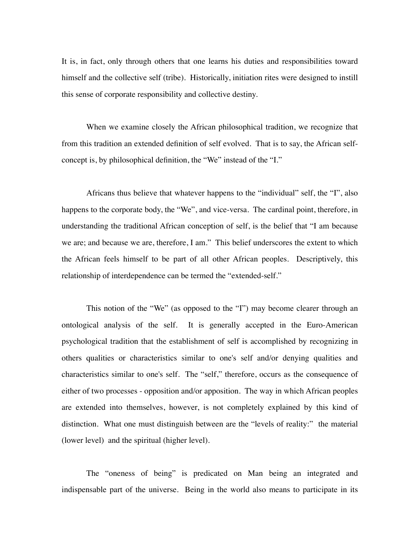It is, in fact, only through others that one learns his duties and responsibilities toward himself and the collective self (tribe). Historically, initiation rites were designed to instill this sense of corporate responsibility and collective destiny.

When we examine closely the African philosophical tradition, we recognize that from this tradition an extended definition of self evolved. That is to say, the African selfconcept is, by philosophical definition, the "We" instead of the "I."

Africans thus believe that whatever happens to the "individual" self, the "I", also happens to the corporate body, the "We", and vice-versa. The cardinal point, therefore, in understanding the traditional African conception of self, is the belief that "I am because we are; and because we are, therefore, I am." This belief underscores the extent to which the African feels himself to be part of all other African peoples. Descriptively, this relationship of interdependence can be termed the "extended-self."

This notion of the "We" (as opposed to the "I") may become clearer through an ontological analysis of the self. It is generally accepted in the Euro-American psychological tradition that the establishment of self is accomplished by recognizing in others qualities or characteristics similar to one's self and/or denying qualities and characteristics similar to one's self. The "self," therefore, occurs as the consequence of either of two processes - opposition and/or apposition. The way in which African peoples are extended into themselves, however, is not completely explained by this kind of distinction. What one must distinguish between are the "levels of reality:" the material (lower level) and the spiritual (higher level).

The "oneness of being" is predicated on Man being an integrated and indispensable part of the universe. Being in the world also means to participate in its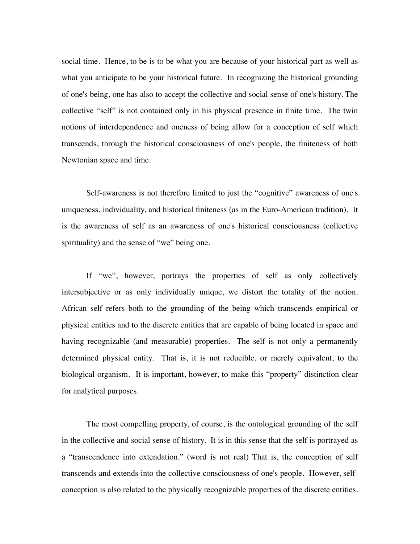social time. Hence, to be is to be what you are because of your historical part as well as what you anticipate to be your historical future. In recognizing the historical grounding of one's being, one has also to accept the collective and social sense of one's history. The collective "self" is not contained only in his physical presence in finite time. The twin notions of interdependence and oneness of being allow for a conception of self which transcends, through the historical consciousness of one's people, the finiteness of both Newtonian space and time.

Self-awareness is not therefore limited to just the "cognitive" awareness of one's uniqueness, individuality, and historical finiteness (as in the Euro-American tradition). It is the awareness of self as an awareness of one's historical consciousness (collective spirituality) and the sense of "we" being one.

If "we", however, portrays the properties of self as only collectively intersubjective or as only individually unique, we distort the totality of the notion. African self refers both to the grounding of the being which transcends empirical or physical entities and to the discrete entities that are capable of being located in space and having recognizable (and measurable) properties. The self is not only a permanently determined physical entity. That is, it is not reducible, or merely equivalent, to the biological organism. It is important, however, to make this "property" distinction clear for analytical purposes.

The most compelling property, of course, is the ontological grounding of the self in the collective and social sense of history. It is in this sense that the self is portrayed as a "transcendence into extendation." (word is not real) That is, the conception of self transcends and extends into the collective consciousness of one's people. However, selfconception is also related to the physically recognizable properties of the discrete entities.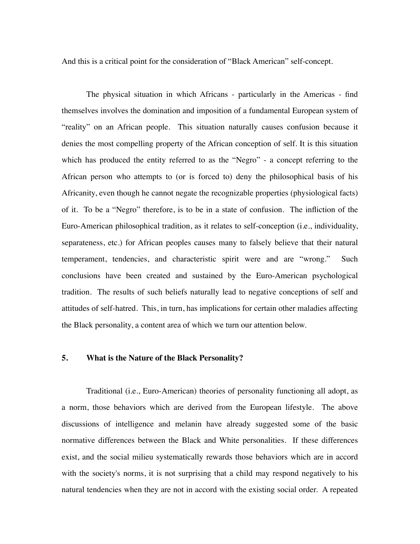And this is a critical point for the consideration of "Black American" self-concept.

The physical situation in which Africans - particularly in the Americas - find themselves involves the domination and imposition of a fundamental European system of "reality" on an African people. This situation naturally causes confusion because it denies the most compelling property of the African conception of self. It is this situation which has produced the entity referred to as the "Negro" - a concept referring to the African person who attempts to (or is forced to) deny the philosophical basis of his Africanity, even though he cannot negate the recognizable properties (physiological facts) of it. To be a "Negro" therefore, is to be in a state of confusion. The infliction of the Euro-American philosophical tradition, as it relates to self-conception (i.e., individuality, separateness, etc.) for African peoples causes many to falsely believe that their natural temperament, tendencies, and characteristic spirit were and are "wrong." Such conclusions have been created and sustained by the Euro-American psychological tradition. The results of such beliefs naturally lead to negative conceptions of self and attitudes of self-hatred. This, in turn, has implications for certain other maladies affecting the Black personality, a content area of which we turn our attention below.

## **5. What is the Nature of the Black Personality?**

Traditional (i.e., Euro-American) theories of personality functioning all adopt, as a norm, those behaviors which are derived from the European lifestyle. The above discussions of intelligence and melanin have already suggested some of the basic normative differences between the Black and White personalities. If these differences exist, and the social milieu systematically rewards those behaviors which are in accord with the society's norms, it is not surprising that a child may respond negatively to his natural tendencies when they are not in accord with the existing social order. A repeated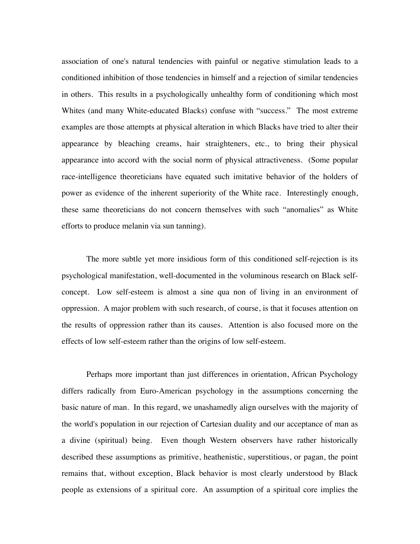association of one's natural tendencies with painful or negative stimulation leads to a conditioned inhibition of those tendencies in himself and a rejection of similar tendencies in others. This results in a psychologically unhealthy form of conditioning which most Whites (and many White-educated Blacks) confuse with "success." The most extreme examples are those attempts at physical alteration in which Blacks have tried to alter their appearance by bleaching creams, hair straighteners, etc., to bring their physical appearance into accord with the social norm of physical attractiveness. (Some popular race-intelligence theoreticians have equated such imitative behavior of the holders of power as evidence of the inherent superiority of the White race. Interestingly enough, these same theoreticians do not concern themselves with such "anomalies" as White efforts to produce melanin via sun tanning).

The more subtle yet more insidious form of this conditioned self-rejection is its psychological manifestation, well-documented in the voluminous research on Black selfconcept. Low self-esteem is almost a sine qua non of living in an environment of oppression. A major problem with such research, of course, is that it focuses attention on the results of oppression rather than its causes. Attention is also focused more on the effects of low self-esteem rather than the origins of low self-esteem.

Perhaps more important than just differences in orientation, African Psychology differs radically from Euro-American psychology in the assumptions concerning the basic nature of man. In this regard, we unashamedly align ourselves with the majority of the world's population in our rejection of Cartesian duality and our acceptance of man as a divine (spiritual) being. Even though Western observers have rather historically described these assumptions as primitive, heathenistic, superstitious, or pagan, the point remains that, without exception, Black behavior is most clearly understood by Black people as extensions of a spiritual core. An assumption of a spiritual core implies the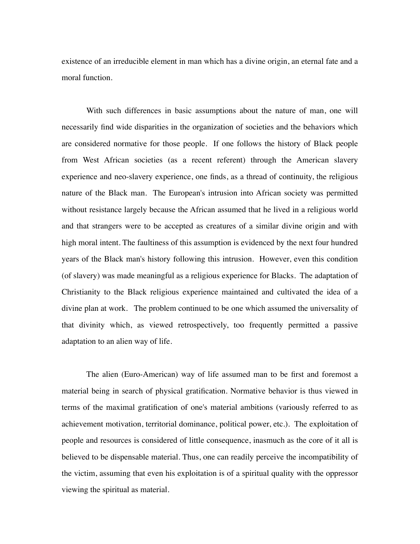existence of an irreducible element in man which has a divine origin, an eternal fate and a moral function.

With such differences in basic assumptions about the nature of man, one will necessarily find wide disparities in the organization of societies and the behaviors which are considered normative for those people. If one follows the history of Black people from West African societies (as a recent referent) through the American slavery experience and neo-slavery experience, one finds, as a thread of continuity, the religious nature of the Black man. The European's intrusion into African society was permitted without resistance largely because the African assumed that he lived in a religious world and that strangers were to be accepted as creatures of a similar divine origin and with high moral intent. The faultiness of this assumption is evidenced by the next four hundred years of the Black man's history following this intrusion. However, even this condition (of slavery) was made meaningful as a religious experience for Blacks. The adaptation of Christianity to the Black religious experience maintained and cultivated the idea of a divine plan at work. The problem continued to be one which assumed the universality of that divinity which, as viewed retrospectively, too frequently permitted a passive adaptation to an alien way of life.

The alien (Euro-American) way of life assumed man to be first and foremost a material being in search of physical gratification. Normative behavior is thus viewed in terms of the maximal gratification of one's material ambitions (variously referred to as achievement motivation, territorial dominance, political power, etc.). The exploitation of people and resources is considered of little consequence, inasmuch as the core of it all is believed to be dispensable material. Thus, one can readily perceive the incompatibility of the victim, assuming that even his exploitation is of a spiritual quality with the oppressor viewing the spiritual as material.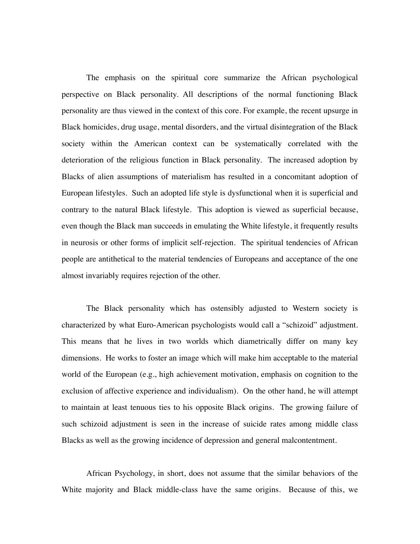The emphasis on the spiritual core summarize the African psychological perspective on Black personality. All descriptions of the normal functioning Black personality are thus viewed in the context of this core. For example, the recent upsurge in Black homicides, drug usage, mental disorders, and the virtual disintegration of the Black society within the American context can be systematically correlated with the deterioration of the religious function in Black personality. The increased adoption by Blacks of alien assumptions of materialism has resulted in a concomitant adoption of European lifestyles. Such an adopted life style is dysfunctional when it is superficial and contrary to the natural Black lifestyle. This adoption is viewed as superficial because, even though the Black man succeeds in emulating the White lifestyle, it frequently results in neurosis or other forms of implicit self-rejection. The spiritual tendencies of African people are antithetical to the material tendencies of Europeans and acceptance of the one almost invariably requires rejection of the other.

The Black personality which has ostensibly adjusted to Western society is characterized by what Euro-American psychologists would call a "schizoid" adjustment. This means that he lives in two worlds which diametrically differ on many key dimensions. He works to foster an image which will make him acceptable to the material world of the European (e.g., high achievement motivation, emphasis on cognition to the exclusion of affective experience and individualism). On the other hand, he will attempt to maintain at least tenuous ties to his opposite Black origins. The growing failure of such schizoid adjustment is seen in the increase of suicide rates among middle class Blacks as well as the growing incidence of depression and general malcontentment.

African Psychology, in short, does not assume that the similar behaviors of the White majority and Black middle-class have the same origins. Because of this, we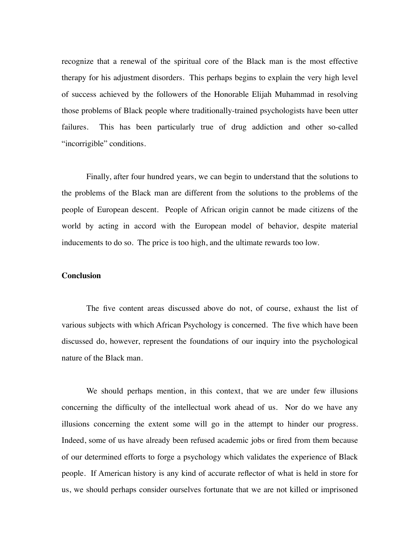recognize that a renewal of the spiritual core of the Black man is the most effective therapy for his adjustment disorders. This perhaps begins to explain the very high level of success achieved by the followers of the Honorable Elijah Muhammad in resolving those problems of Black people where traditionally-trained psychologists have been utter failures. This has been particularly true of drug addiction and other so-called "incorrigible" conditions.

Finally, after four hundred years, we can begin to understand that the solutions to the problems of the Black man are different from the solutions to the problems of the people of European descent. People of African origin cannot be made citizens of the world by acting in accord with the European model of behavior, despite material inducements to do so. The price is too high, and the ultimate rewards too low.

## **Conclusion**

The five content areas discussed above do not, of course, exhaust the list of various subjects with which African Psychology is concerned. The five which have been discussed do, however, represent the foundations of our inquiry into the psychological nature of the Black man.

We should perhaps mention, in this context, that we are under few illusions concerning the difficulty of the intellectual work ahead of us. Nor do we have any illusions concerning the extent some will go in the attempt to hinder our progress. Indeed, some of us have already been refused academic jobs or fired from them because of our determined efforts to forge a psychology which validates the experience of Black people. If American history is any kind of accurate reflector of what is held in store for us, we should perhaps consider ourselves fortunate that we are not killed or imprisoned